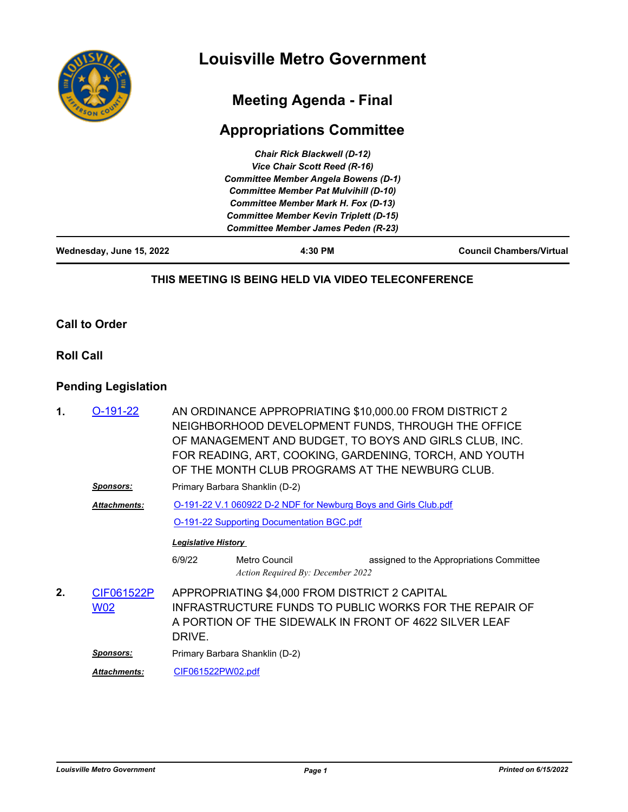

# **Meeting Agenda - Final**

# **Appropriations Committee**

| 4:30 PM                                       | <b>Council Chambers/Virtual</b> |
|-----------------------------------------------|---------------------------------|
| <b>Committee Member James Peden (R-23)</b>    |                                 |
| <b>Committee Member Kevin Triplett (D-15)</b> |                                 |
| <b>Committee Member Mark H. Fox (D-13)</b>    |                                 |
| <b>Committee Member Pat Mulvihill (D-10)</b>  |                                 |
| <b>Committee Member Angela Bowens (D-1)</b>   |                                 |
| <b>Vice Chair Scott Reed (R-16)</b>           |                                 |
| <b>Chair Rick Blackwell (D-12)</b>            |                                 |
|                                               |                                 |

### **THIS MEETING IS BEING HELD VIA VIDEO TELECONFERENCE**

## **Call to Order**

### **Roll Call**

# **Pending Legislation**

| 1. | O-191-22                 | AN ORDINANCE APPROPRIATING \$10,000.00 FROM DISTRICT 2<br>NEIGHBORHOOD DEVELOPMENT FUNDS, THROUGH THE OFFICE<br>OF MANAGEMENT AND BUDGET, TO BOYS AND GIRLS CLUB, INC.<br>FOR READING, ART, COOKING, GARDENING, TORCH, AND YOUTH<br>OF THE MONTH CLUB PROGRAMS AT THE NEWBURG CLUB. |                                                    |                                          |
|----|--------------------------|-------------------------------------------------------------------------------------------------------------------------------------------------------------------------------------------------------------------------------------------------------------------------------------|----------------------------------------------------|------------------------------------------|
|    | Sponsors:                | Primary Barbara Shanklin (D-2)                                                                                                                                                                                                                                                      |                                                    |                                          |
|    | <b>Attachments:</b>      | O-191-22 V.1 060922 D-2 NDF for Newburg Boys and Girls Club.pdf                                                                                                                                                                                                                     |                                                    |                                          |
|    |                          | <b>O-191-22 Supporting Documentation BGC.pdf</b>                                                                                                                                                                                                                                    |                                                    |                                          |
|    |                          | <b>Legislative History</b>                                                                                                                                                                                                                                                          |                                                    |                                          |
|    |                          | 6/9/22                                                                                                                                                                                                                                                                              | Metro Council<br>Action Required By: December 2022 | assigned to the Appropriations Committee |
| 2. | CIF061522P<br><u>W02</u> | APPROPRIATING \$4,000 FROM DISTRICT 2 CAPITAL<br>INFRASTRUCTURE FUNDS TO PUBLIC WORKS FOR THE REPAIR OF<br>A PORTION OF THE SIDEWALK IN FRONT OF 4622 SILVER LEAF<br>DRIVE.                                                                                                         |                                                    |                                          |
|    | Sponsors:                | Primary Barbara Shanklin (D-2)                                                                                                                                                                                                                                                      |                                                    |                                          |
|    | <b>Attachments:</b>      | CIF061522PW02.pdf                                                                                                                                                                                                                                                                   |                                                    |                                          |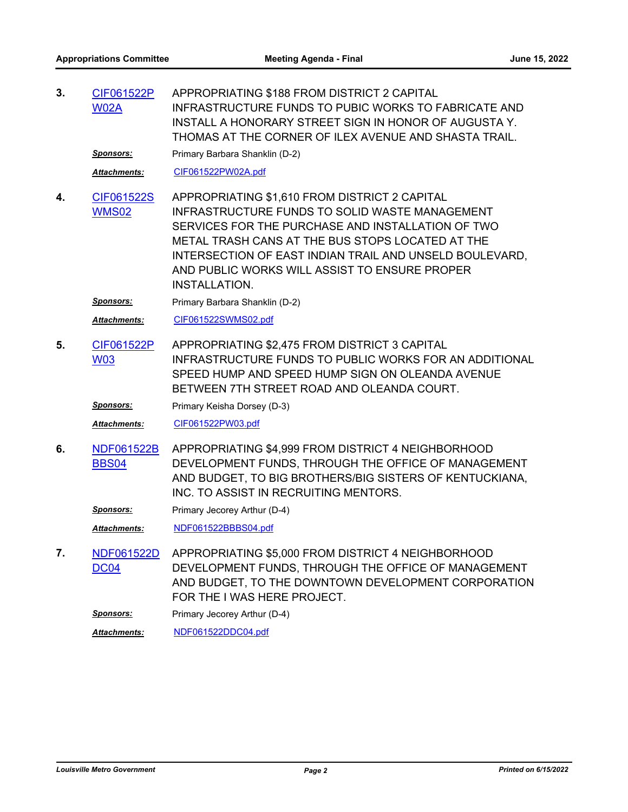APPROPRIATING \$188 FROM DISTRICT 2 CAPITAL INFRASTRUCTURE FUNDS TO PUBIC WORKS TO FABRICATE AND INSTALL A HONORARY STREET SIGN IN HONOR OF AUGUSTA Y. THOMAS AT THE CORNER OF ILEX AVENUE AND SHASTA TRAIL. **3.** [CIF061522P](http://louisville.legistar.com/gateway.aspx?m=l&id=/matter.aspx?key=60662) W02A *Sponsors:* Primary Barbara Shanklin (D-2) *Attachments:* [CIF061522PW02A.pdf](http://louisville.legistar.com/gateway.aspx?M=F&ID=fcda90db-1670-4e5e-9866-5838a289cb1f.pdf) APPROPRIATING \$1,610 FROM DISTRICT 2 CAPITAL INFRASTRUCTURE FUNDS TO SOLID WASTE MANAGEMENT SERVICES FOR THE PURCHASE AND INSTALLATION OF TWO METAL TRASH CANS AT THE BUS STOPS LOCATED AT THE INTERSECTION OF EAST INDIAN TRAIL AND UNSELD BOULEVARD, AND PUBLIC WORKS WILL ASSIST TO ENSURE PROPER INSTALLATION. **4.** [CIF061522S](http://louisville.legistar.com/gateway.aspx?m=l&id=/matter.aspx?key=60385) WMS02 **Sponsors:** Primary Barbara Shanklin (D-2) *Attachments:* [CIF061522SWMS02.pdf](http://louisville.legistar.com/gateway.aspx?M=F&ID=b2f6aa58-0a6e-4129-8242-538ddad4ceda.pdf) APPROPRIATING \$2,475 FROM DISTRICT 3 CAPITAL INFRASTRUCTURE FUNDS TO PUBLIC WORKS FOR AN ADDITIONAL SPEED HUMP AND SPEED HUMP SIGN ON OLEANDA AVENUE BETWEEN 7TH STREET ROAD AND OLEANDA COURT. **5.** [CIF061522P](http://louisville.legistar.com/gateway.aspx?m=l&id=/matter.aspx?key=60657) W03 **Sponsors:** Primary Keisha Dorsey (D-3) *Attachments:* [CIF061522PW03.pdf](http://louisville.legistar.com/gateway.aspx?M=F&ID=71d35c65-e7c1-46bd-8387-e39258abeadb.pdf) APPROPRIATING \$4,999 FROM DISTRICT 4 NEIGHBORHOOD DEVELOPMENT FUNDS, THROUGH THE OFFICE OF MANAGEMENT AND BUDGET, TO BIG BROTHERS/BIG SISTERS OF KENTUCKIANA, INC. TO ASSIST IN RECRUITING MENTORS. **6.** [NDF061522B](http://louisville.legistar.com/gateway.aspx?m=l&id=/matter.aspx?key=60663) BBS04 **Sponsors:** Primary Jecorey Arthur (D-4) *Attachments:* [NDF061522BBBS04.pdf](http://louisville.legistar.com/gateway.aspx?M=F&ID=1690d2d2-33ab-449d-98ce-c33170471bdb.pdf) APPROPRIATING \$5,000 FROM DISTRICT 4 NEIGHBORHOOD DEVELOPMENT FUNDS, THROUGH THE OFFICE OF MANAGEMENT AND BUDGET, TO THE DOWNTOWN DEVELOPMENT CORPORATION FOR THE I WAS HERE PROJECT. **7.** [NDF061522D](http://louisville.legistar.com/gateway.aspx?m=l&id=/matter.aspx?key=60664) DC<sub>04</sub> **Sponsors:** Primary Jecorey Arthur (D-4) *Attachments:* [NDF061522DDC04.pdf](http://louisville.legistar.com/gateway.aspx?M=F&ID=d99d6629-327a-4945-987b-aa9e67f529ee.pdf)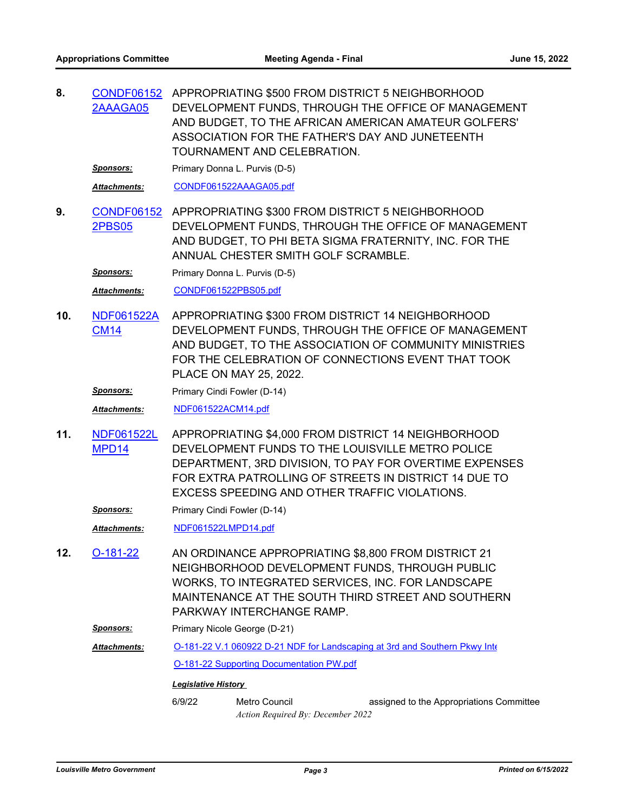APPROPRIATING \$500 FROM DISTRICT 5 NEIGHBORHOOD **8.** [CONDF06152](http://louisville.legistar.com/gateway.aspx?m=l&id=/matter.aspx?key=60404) DEVELOPMENT FUNDS, THROUGH THE OFFICE OF MANAGEMENT AND BUDGET, TO THE AFRICAN AMERICAN AMATEUR GOLFERS' ASSOCIATION FOR THE FATHER'S DAY AND JUNETEENTH TOURNAMENT AND CELEBRATION. 2AAAGA05

**Sponsors:** Primary Donna L. Purvis (D-5)

Attachments: [CONDF061522AAAGA05.pdf](http://louisville.legistar.com/gateway.aspx?M=F&ID=67994300-34c0-465e-a27b-410b3750790e.pdf)

APPROPRIATING \$300 FROM DISTRICT 5 NEIGHBORHOOD DEVELOPMENT FUNDS, THROUGH THE OFFICE OF MANAGEMENT AND BUDGET, TO PHI BETA SIGMA FRATERNITY, INC. FOR THE ANNUAL CHESTER SMITH GOLF SCRAMBLE. **9.** [CONDF06152](http://louisville.legistar.com/gateway.aspx?m=l&id=/matter.aspx?key=60405) 2PBS05

*Sponsors:* Primary Donna L. Purvis (D-5)

*Attachments:* [CONDF061522PBS05.pdf](http://louisville.legistar.com/gateway.aspx?M=F&ID=2c719dc8-232b-402e-8cad-a825caf417e4.pdf)

APPROPRIATING \$300 FROM DISTRICT 14 NEIGHBORHOOD DEVELOPMENT FUNDS, THROUGH THE OFFICE OF MANAGEMENT AND BUDGET, TO THE ASSOCIATION OF COMMUNITY MINISTRIES FOR THE CELEBRATION OF CONNECTIONS EVENT THAT TOOK PLACE ON MAY 25, 2022. **10.** [NDF061522A](http://louisville.legistar.com/gateway.aspx?m=l&id=/matter.aspx?key=60675) CM14

**Sponsors:** Primary Cindi Fowler (D-14)

*Attachments:* [NDF061522ACM14.pdf](http://louisville.legistar.com/gateway.aspx?M=F&ID=b9df98f9-bdbf-45f9-b931-c8b32749cd30.pdf)

APPROPRIATING \$4,000 FROM DISTRICT 14 NEIGHBORHOOD DEVELOPMENT FUNDS TO THE LOUISVILLE METRO POLICE DEPARTMENT, 3RD DIVISION, TO PAY FOR OVERTIME EXPENSES FOR EXTRA PATROLLING OF STREETS IN DISTRICT 14 DUE TO EXCESS SPEEDING AND OTHER TRAFFIC VIOLATIONS. **11.** [NDF061522L](http://louisville.legistar.com/gateway.aspx?m=l&id=/matter.aspx?key=60686) MPD14

**Sponsors:** Primary Cindi Fowler (D-14)

*Attachments:* [NDF061522LMPD14.pdf](http://louisville.legistar.com/gateway.aspx?M=F&ID=8320cad6-38e6-4c3e-b0ab-c1ca0ad5c8f6.pdf)

- AN ORDINANCE APPROPRIATING \$8,800 FROM DISTRICT 21 NEIGHBORHOOD DEVELOPMENT FUNDS, THROUGH PUBLIC WORKS, TO INTEGRATED SERVICES, INC. FOR LANDSCAPE MAINTENANCE AT THE SOUTH THIRD STREET AND SOUTHERN PARKWAY INTERCHANGE RAMP. **12.** [O-181-22](http://louisville.legistar.com/gateway.aspx?m=l&id=/matter.aspx?key=60353)
	- **Sponsors:** Primary Nicole George (D-21)

[O-181-22 V.1 060922 D-21 NDF for Landscaping at 3rd and Southern Pkwy Inte](http://louisville.legistar.com/gateway.aspx?M=F&ID=975da8ee-485e-4fe1-8770-6b710228f6b5.pdf)r *Attachments:*

[O-181-22 Supporting Documentation PW.pdf](http://louisville.legistar.com/gateway.aspx?M=F&ID=5be9bdfe-62ed-4103-bc5a-fac356626bba.pdf)

#### *Legislative History*

6/9/22 Metro Council assigned to the Appropriations Committee *Action Required By: December 2022*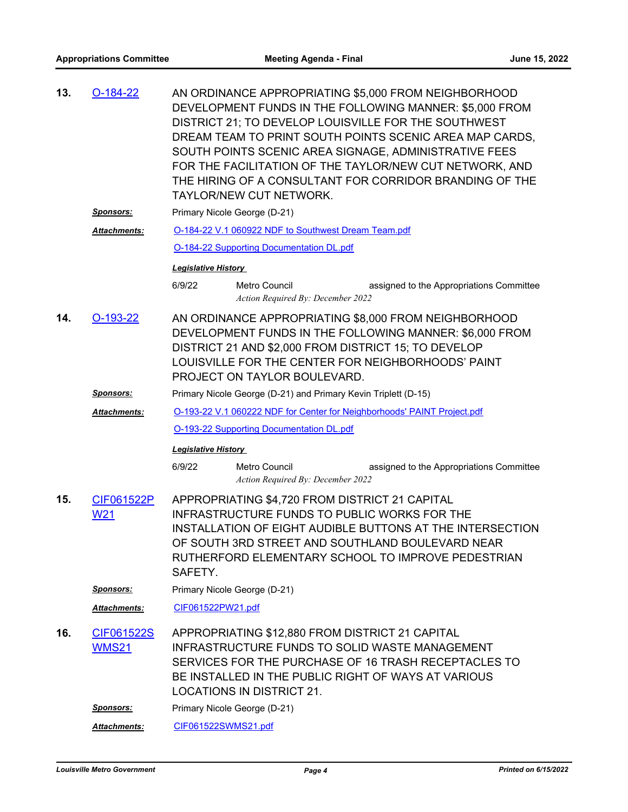| 13.                                                                                                                                                                                                                                                                                                                             | $O-184-22$                 | AN ORDINANCE APPROPRIATING \$5,000 FROM NEIGHBORHOOD<br>DEVELOPMENT FUNDS IN THE FOLLOWING MANNER: \$5,000 FROM<br>DISTRICT 21; TO DEVELOP LOUISVILLE FOR THE SOUTHWEST<br>DREAM TEAM TO PRINT SOUTH POINTS SCENIC AREA MAP CARDS,<br>SOUTH POINTS SCENIC AREA SIGNAGE, ADMINISTRATIVE FEES<br>FOR THE FACILITATION OF THE TAYLOR/NEW CUT NETWORK, AND<br>THE HIRING OF A CONSULTANT FOR CORRIDOR BRANDING OF THE<br>TAYLOR/NEW CUT NETWORK. |                                                                                     |                                                                                                                                                                      |
|---------------------------------------------------------------------------------------------------------------------------------------------------------------------------------------------------------------------------------------------------------------------------------------------------------------------------------|----------------------------|----------------------------------------------------------------------------------------------------------------------------------------------------------------------------------------------------------------------------------------------------------------------------------------------------------------------------------------------------------------------------------------------------------------------------------------------|-------------------------------------------------------------------------------------|----------------------------------------------------------------------------------------------------------------------------------------------------------------------|
| <u>Sponsors:</u>                                                                                                                                                                                                                                                                                                                |                            | Primary Nicole George (D-21)                                                                                                                                                                                                                                                                                                                                                                                                                 |                                                                                     |                                                                                                                                                                      |
|                                                                                                                                                                                                                                                                                                                                 | <b>Attachments:</b>        | O-184-22 V.1 060922 NDF to Southwest Dream Team.pdf                                                                                                                                                                                                                                                                                                                                                                                          |                                                                                     |                                                                                                                                                                      |
|                                                                                                                                                                                                                                                                                                                                 |                            |                                                                                                                                                                                                                                                                                                                                                                                                                                              | <b>O-184-22 Supporting Documentation DL.pdf</b>                                     |                                                                                                                                                                      |
|                                                                                                                                                                                                                                                                                                                                 |                            | <b>Legislative History</b>                                                                                                                                                                                                                                                                                                                                                                                                                   |                                                                                     |                                                                                                                                                                      |
|                                                                                                                                                                                                                                                                                                                                 |                            | 6/9/22                                                                                                                                                                                                                                                                                                                                                                                                                                       | <b>Metro Council</b><br>Action Required By: December 2022                           | assigned to the Appropriations Committee                                                                                                                             |
| 14.                                                                                                                                                                                                                                                                                                                             | O-193-22                   | AN ORDINANCE APPROPRIATING \$8,000 FROM NEIGHBORHOOD<br>DEVELOPMENT FUNDS IN THE FOLLOWING MANNER: \$6,000 FROM<br>DISTRICT 21 AND \$2,000 FROM DISTRICT 15; TO DEVELOP<br>LOUISVILLE FOR THE CENTER FOR NEIGHBORHOODS' PAINT<br>PROJECT ON TAYLOR BOULEVARD.                                                                                                                                                                                |                                                                                     |                                                                                                                                                                      |
|                                                                                                                                                                                                                                                                                                                                 | <u>Sponsors:</u>           |                                                                                                                                                                                                                                                                                                                                                                                                                                              | Primary Nicole George (D-21) and Primary Kevin Triplett (D-15)                      |                                                                                                                                                                      |
|                                                                                                                                                                                                                                                                                                                                 | <b>Attachments:</b>        |                                                                                                                                                                                                                                                                                                                                                                                                                                              |                                                                                     | O-193-22 V.1 060222 NDF for Center for Neighborhoods' PAINT Project.pdf                                                                                              |
|                                                                                                                                                                                                                                                                                                                                 |                            | <b>O-193-22 Supporting Documentation DL.pdf</b>                                                                                                                                                                                                                                                                                                                                                                                              |                                                                                     |                                                                                                                                                                      |
|                                                                                                                                                                                                                                                                                                                                 |                            | <b>Legislative History</b>                                                                                                                                                                                                                                                                                                                                                                                                                   |                                                                                     |                                                                                                                                                                      |
|                                                                                                                                                                                                                                                                                                                                 |                            | 6/9/22                                                                                                                                                                                                                                                                                                                                                                                                                                       | <b>Metro Council</b><br>Action Required By: December 2022                           | assigned to the Appropriations Committee                                                                                                                             |
| CIF061522P<br>APPROPRIATING \$4,720 FROM DISTRICT 21 CAPITAL<br>15.<br><b>INFRASTRUCTURE FUNDS TO PUBLIC WORKS FOR THE</b><br>W <sub>21</sub><br>INSTALLATION OF EIGHT AUDIBLE BUTTONS AT THE INTERSECTION<br>OF SOUTH 3RD STREET AND SOUTHLAND BOULEVARD NEAR<br>RUTHERFORD ELEMENTARY SCHOOL TO IMPROVE PEDESTRIAN<br>SAFETY. |                            |                                                                                                                                                                                                                                                                                                                                                                                                                                              |                                                                                     |                                                                                                                                                                      |
|                                                                                                                                                                                                                                                                                                                                 | <u>Sponsors:</u>           | Primary Nicole George (D-21)                                                                                                                                                                                                                                                                                                                                                                                                                 |                                                                                     |                                                                                                                                                                      |
|                                                                                                                                                                                                                                                                                                                                 | Attachments:               | CIF061522PW21.pdf                                                                                                                                                                                                                                                                                                                                                                                                                            |                                                                                     |                                                                                                                                                                      |
| 16.                                                                                                                                                                                                                                                                                                                             | CIF061522S<br><b>WMS21</b> |                                                                                                                                                                                                                                                                                                                                                                                                                                              | APPROPRIATING \$12,880 FROM DISTRICT 21 CAPITAL<br><b>LOCATIONS IN DISTRICT 21.</b> | <b>INFRASTRUCTURE FUNDS TO SOLID WASTE MANAGEMENT</b><br>SERVICES FOR THE PURCHASE OF 16 TRASH RECEPTACLES TO<br>BE INSTALLED IN THE PUBLIC RIGHT OF WAYS AT VARIOUS |
|                                                                                                                                                                                                                                                                                                                                 | <u>Sponsors:</u>           |                                                                                                                                                                                                                                                                                                                                                                                                                                              | Primary Nicole George (D-21)                                                        |                                                                                                                                                                      |
|                                                                                                                                                                                                                                                                                                                                 | Attachments:               | CIF061522SWMS21.pdf                                                                                                                                                                                                                                                                                                                                                                                                                          |                                                                                     |                                                                                                                                                                      |